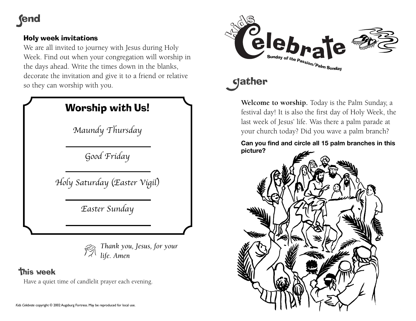## **fend**

## Holy week invitations

We are all invited to journey with Jesus during Holy Week. Find out when your congregation will worship in the days ahead. Write the times down in the blanks, decorate the invitation and give it to a friend or relative so they can worship with you.

|           | Worship with Us!                         |
|-----------|------------------------------------------|
|           | Maundy Thursday                          |
|           | Good Friday                              |
|           | Holy Saturday (Easter Vigil)             |
|           | Easter Sunday                            |
|           |                                          |
|           | Thank you, Jesus, for your<br>life. Amen |
| thie waak |                                          |

Have a quiet time of candlelit prayer each evening.



# **gather**

**Welcome to worship.** Today is the Palm Sunday, a festival day! It is also the first day of Holy Week, the last week of Jesus' life. Was there a palm parade at your church today? Did you wave a palm branch?

### **Can you find and circle all 15 palm branches in this picture?**